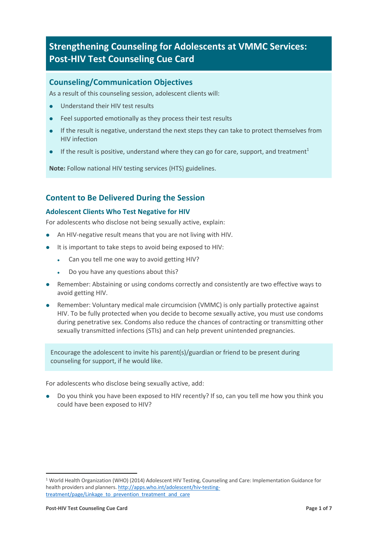# **Strengthening Counseling for Adolescents at VMMC Services: Post-HIV Test Counseling Cue Card**

# **Counseling/Communication Objectives**

As a result of this counseling session, adolescent clients will:

- **.** Understand their HIV test results
- Feel supported emotionally as they process their test results
- If the result is negative, understand the next steps they can take to protect themselves from HIV infection
- If the result is positive, understand where they can go for care, support, and treatment<sup>1</sup>

**Note:** Follow national HIV testing services (HTS) guidelines.

# **Content to Be Delivered During the Session**

## **Adolescent Clients Who Test Negative for HIV**

For adolescents who disclose not being sexually active, explain:

- An HIV-negative result means that you are not living with HIV.
- It is important to take steps to avoid being exposed to HIV:
	- . Can you tell me one way to avoid getting HIV?
	- Do you have any questions about this?
- Remember: Abstaining or using condoms correctly and consistently are two effective ways to avoid getting HIV.
- Remember: Voluntary medical male circumcision (VMMC) is only partially protective against HIV. To be fully protected when you decide to become sexually active, you must use condoms during penetrative sex. Condoms also reduce the chances of contracting or transmitting other sexually transmitted infections (STIs) and can help prevent unintended pregnancies.

Encourage the adolescent to invite his parent(s)/guardian or friend to be present during counseling for support, if he would like.

For adolescents who disclose being sexually active, add:

Do you think you have been exposed to HIV recently? If so, can you tell me how you think you could have been exposed to HIV?

 $\overline{a}$ 

<sup>1</sup> World Health Organization (WHO) (2014) Adolescent HIV Testing, Counseling and Care: Implementation Guidance for health providers and planners. http://apps.who.int/adolescent/hiv-testingtreatment/page/Linkage\_to\_prevention\_treatment\_and\_care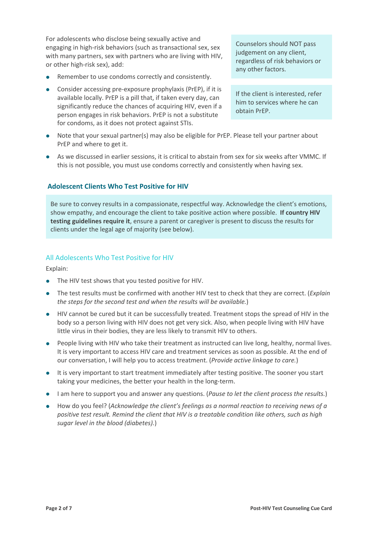For adolescents who disclose being sexually active and engaging in high-risk behaviors (such as transactional sex, sex with many partners, sex with partners who are living with HIV, or other high-risk sex), add:

- Remember to use condoms correctly and consistently.
- $\bullet$  Consider accessing pre-exposure prophylaxis (PrEP), if it is available locally. PrEP is a pill that, if taken every day, can significantly reduce the chances of acquiring HIV, even if a person engages in risk behaviors. PrEP is not a substitute for condoms, as it does not protect against STIs.

Counselors should NOT pass judgement on any client, regardless of risk behaviors or any other factors.

If the client is interested, refer him to services where he can obtain PrEP.

- Note that your sexual partner(s) may also be eligible for PrEP. Please tell your partner about PrEP and where to get it.
- As we discussed in earlier sessions, it is critical to abstain from sex for six weeks after VMMC. If this is not possible, you must use condoms correctly and consistently when having sex.

#### **Adolescent Clients Who Test Positive for HIV**

Be sure to convey results in a compassionate, respectful way. Acknowledge the client's emotions, show empathy, and encourage the client to take positive action where possible. **If country HIV testing guidelines require it**, ensure a parent or caregiver is present to discuss the results for clients under the legal age of majority (see below).

#### All Adolescents Who Test Positive for HIV

Explain:

- The HIV test shows that you tested positive for HIV.
- l The test results must be confirmed with another HIV test to check that they are correct. (*Explain the steps for the second test and when the results will be available.*)
- l HIV cannot be cured but it can be successfully treated. Treatment stops the spread of HIV in the body so a person living with HIV does not get very sick. Also, when people living with HIV have little virus in their bodies, they are less likely to transmit HIV to others.
- People living with HIV who take their treatment as instructed can live long, healthy, normal lives. It is very important to access HIV care and treatment services as soon as possible. At the end of our conversation, I will help you to access treatment. (*Provide active linkage to care.*)
- It is very important to start treatment immediately after testing positive. The sooner you start taking your medicines, the better your health in the long-term.
- **I** am here to support you and answer any questions. (*Pause to let the client process the results.*)
- How do you feel? (*Acknowledge the client's feelings as a normal reaction to receiving news of a positive test result. Remind the client that HIV is a treatable condition like others, such as high sugar level in the blood (diabetes).*)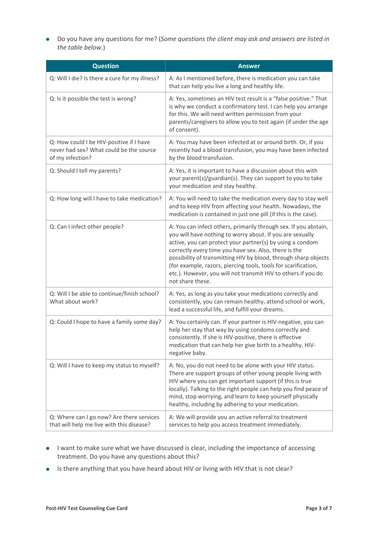■ Do you have any questions for me? (*Some questions the client may ask and answers are listed in the table below.*)

| <b>Question</b>                                                                                         | <b>Answer</b>                                                                                                                                                                                                                                                                                                                                                                                                                                                                 |
|---------------------------------------------------------------------------------------------------------|-------------------------------------------------------------------------------------------------------------------------------------------------------------------------------------------------------------------------------------------------------------------------------------------------------------------------------------------------------------------------------------------------------------------------------------------------------------------------------|
| Q: Will I die? Is there a cure for my illness?                                                          | A: As I mentioned before, there is medication you can take<br>that can help you live a long and healthy life.                                                                                                                                                                                                                                                                                                                                                                 |
| Q: Is it possible the test is wrong?                                                                    | A: Yes, sometimes an HIV test result is a "false positive." That<br>is why we conduct a confirmatory test. I can help you arrange<br>for this. We will need written permission from your<br>parents/caregivers to allow you to test again (if under the age<br>of consent).                                                                                                                                                                                                   |
| Q: How could I be HIV-positive if I have<br>never had sex? What could be the source<br>of my infection? | A: You may have been infected at or around birth. Or, if you<br>recently had a blood transfusion, you may have been infected<br>by the blood transfusion.                                                                                                                                                                                                                                                                                                                     |
| Q: Should I tell my parents?                                                                            | A: Yes, it is important to have a discussion about this with<br>your parent(s)/guardian(s). They can support to you to take<br>your medication and stay healthy.                                                                                                                                                                                                                                                                                                              |
| Q: How long will I have to take medication?                                                             | A: You will need to take the medication every day to stay well<br>and to keep HIV from affecting your health. Nowadays, the<br>medication is contained in just one pill (if this is the case).                                                                                                                                                                                                                                                                                |
| Q: Can I infect other people?                                                                           | A: You can infect others, primarily through sex. If you abstain,<br>you will have nothing to worry about. If you are sexually<br>active, you can protect your partner(s) by using a condom<br>correctly every time you have sex. Also, there is the<br>possibility of transmitting HIV by blood, through sharp objects<br>(for example, razors, piercing tools, tools for scarification,<br>etc.). However, you will not transmit HIV to others if you do<br>not share these. |
| Q: Will I be able to continue/finish school?<br>What about work?                                        | A: Yes, as long as you take your medications correctly and<br>consistently, you can remain healthy, attend school or work,<br>lead a successful life, and fulfill your dreams.                                                                                                                                                                                                                                                                                                |
| Q: Could I hope to have a family some day?                                                              | A: You certainly can. If your partner is HIV-negative, you can<br>help her stay that way by using condoms correctly and<br>consistently. If she is HIV-positive, there is effective<br>medication that can help her give birth to a healthy, HIV-<br>negative baby.                                                                                                                                                                                                           |
| Q: Will I have to keep my status to myself?                                                             | A: No, you do not need to be alone with your HIV status.<br>There are support groups of other young people living with<br>HIV where you can get important support (if this is true<br>locally). Talking to the right people can help you find peace of<br>mind, stop worrying, and learn to keep yourself physically<br>healthy, including by adhering to your medication.                                                                                                    |
| Q: Where can I go now? Are there services<br>that will help me live with this disease?                  | A: We will provide you an active referral to treatment<br>services to help you access treatment immediately.                                                                                                                                                                                                                                                                                                                                                                  |

- **.** I want to make sure what we have discussed is clear, including the importance of accessing treatment. Do you have any questions about this?
- **.** Is there anything that you have heard about HIV or living with HIV that is not clear?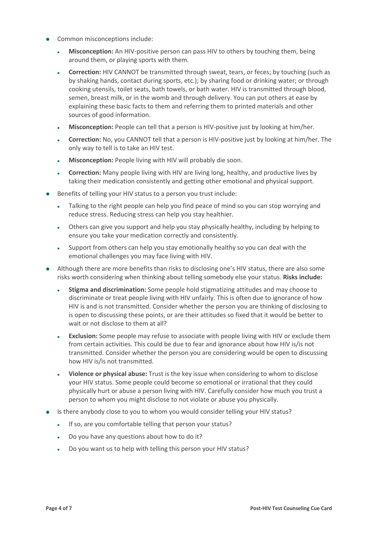- Common misconceptions include:
	- **Misconception:** An HIV-positive person can pass HIV to others by touching them, being around them, or playing sports with them.
	- **Correction:** HIV CANNOT be transmitted through sweat, tears, or feces; by touching (such as by shaking hands, contact during sports, etc.); by sharing food or drinking water; or through cooking utensils, toilet seats, bath towels, or bath water. HIV is transmitted through blood, semen, breast milk, or in the womb and through delivery. You can put others at ease by explaining these basic facts to them and referring them to printed materials and other sources of good information.
	- <sup>l</sup> **Misconception:** People can tell that a person is HIV-positive just by looking at him/her.
	- <sup>l</sup> **Correction:** No, you CANNOT tell that a person is HIV-positive just by looking at him/her. The only way to tell is to take an HIV test.
	- **Misconception:** People living with HIV will probably die soon.
	- **Correction:** Many people living with HIV are living long, healthy, and productive lives by taking their medication consistently and getting other emotional and physical support.
- Benefits of telling your HIV status to a person you trust include:
	- <sup>l</sup> Talking to the right people can help you find peace of mind so you can stop worrying and reduce stress. Reducing stress can help you stay healthier.
	- Others can give you support and help you stay physically healthy, including by helping to ensure you take your medication correctly and consistently.
	- <sup>l</sup> Support from others can help you stay emotionally healthy so you can deal with the emotional challenges you may face living with HIV.
- Although there are more benefits than risks to disclosing one's HIV status, there are also some risks worth considering when thinking about telling somebody else your status. **Risks include:**
	- <sup>l</sup> **Stigma and discrimination:** Some people hold stigmatizing attitudes and may choose to discriminate or treat people living with HIV unfairly. This is often due to ignorance of how HIV is and is not transmitted. Consider whether the person you are thinking of disclosing to is open to discussing these points, or are their attitudes so fixed that it would be better to wait or not disclose to them at all?
	- <sup>l</sup> **Exclusion:** Some people may refuse to associate with people living with HIV or exclude them from certain activities. This could be due to fear and ignorance about how HIV is/is not transmitted. Consider whether the person you are considering would be open to discussing how HIV is/is not transmitted.
	- <sup>l</sup> **Violence or physical abuse:** Trust is the key issue when considering to whom to disclose your HIV status. Some people could become so emotional or irrational that they could physically hurt or abuse a person living with HIV. Carefully consider how much you trust a person to whom you might disclose to not violate or abuse you physically.
- Is there anybody close to you to whom you would consider telling your HIV status?
	- . If so, are you comfortable telling that person your status?
	- Do you have any questions about how to do it?
	- Do you want us to help with telling this person your HIV status?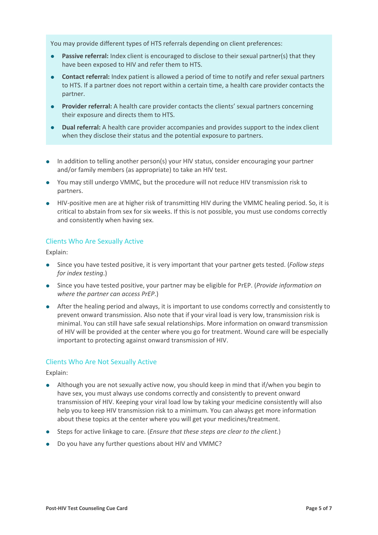You may provide different types of HTS referrals depending on client preferences:

- **Passive referral:** Index client is encouraged to disclose to their sexual partner(s) that they have been exposed to HIV and refer them to HTS.
- **•** Contact referral: Index patient is allowed a period of time to notify and refer sexual partners to HTS. If a partner does not report within a certain time, a health care provider contacts the partner.
- **Provider referral:** A health care provider contacts the clients' sexual partners concerning their exposure and directs them to HTS.
- **Dual referral:** A health care provider accompanies and provides support to the index client when they disclose their status and the potential exposure to partners.
- In addition to telling another person(s) your HIV status, consider encouraging your partner and/or family members (as appropriate) to take an HIV test.
- You may still undergo VMMC, but the procedure will not reduce HIV transmission risk to partners.
- **IIV-positive men are at higher risk of transmitting HIV during the VMMC healing period. So, it is** critical to abstain from sex for six weeks. If this is not possible, you must use condoms correctly and consistently when having sex.

## Clients Who Are Sexually Active

Explain:

- **.** Since you have tested positive, it is very important that your partner gets tested. (*Follow steps for index testing*.)
- **.** Since you have tested positive, your partner may be eligible for PrEP. (*Provide information on where the partner can access PrEP*.)
- After the healing period and always, it is important to use condoms correctly and consistently to prevent onward transmission. Also note that if your viral load is very low, transmission risk is minimal. You can still have safe sexual relationships. More information on onward transmission of HIV will be provided at the center where you go for treatment. Wound care will be especially important to protecting against onward transmission of HIV.

#### Clients Who Are Not Sexually Active

Explain:

- l Although you are not sexually active now, you should keep in mind that if/when you begin to have sex, you must always use condoms correctly and consistently to prevent onward transmission of HIV. Keeping your viral load low by taking your medicine consistently will also help you to keep HIV transmission risk to a minimum. You can always get more information about these topics at the center where you will get your medicines/treatment.
- **.** Steps for active linkage to care. (*Ensure that these steps are clear to the client.*)
- Do you have any further questions about HIV and VMMC?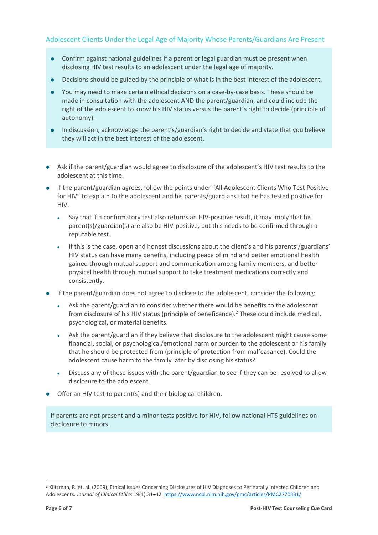# Adolescent Clients Under the Legal Age of Majority Whose Parents/Guardians Are Present

- Confirm against national guidelines if a parent or legal guardian must be present when disclosing HIV test results to an adolescent under the legal age of majority.
- l Decisions should be guided by the principle of what is in the best interest of the adolescent.
- You may need to make certain ethical decisions on a case-by-case basis. These should be made in consultation with the adolescent AND the parent/guardian, and could include the right of the adolescent to know his HIV status versus the parent's right to decide (principle of autonomy).
- In discussion, acknowledge the parent's/guardian's right to decide and state that you believe they will act in the best interest of the adolescent.
- Ask if the parent/guardian would agree to disclosure of the adolescent's HIV test results to the adolescent at this time.
- If the parent/guardian agrees, follow the points under "All Adolescent Clients Who Test Positive for HIV" to explain to the adolescent and his parents/guardians that he has tested positive for HIV.
	- Say that if a confirmatory test also returns an HIV-positive result, it may imply that his parent(s)/guardian(s) are also be HIV-positive, but this needs to be confirmed through a reputable test.
	- If this is the case, open and honest discussions about the client's and his parents'/guardians' HIV status can have many benefits, including peace of mind and better emotional health gained through mutual support and communication among family members, and better physical health through mutual support to take treatment medications correctly and consistently.
- If the parent/guardian does not agree to disclose to the adolescent, consider the following:
	- Ask the parent/guardian to consider whether there would be benefits to the adolescent from disclosure of his HIV status (principle of beneficence).2 These could include medical, psychological, or material benefits.
	- <sup>l</sup> Ask the parent/guardian if they believe that disclosure to the adolescent might cause some financial, social, or psychological/emotional harm or burden to the adolescent or his family that he should be protected from (principle of protection from malfeasance). Could the adolescent cause harm to the family later by disclosing his status?
	- Discuss any of these issues with the parent/guardian to see if they can be resolved to allow disclosure to the adolescent.
- Offer an HIV test to parent(s) and their biological children.

If parents are not present and a minor tests positive for HIV, follow national HTS guidelines on disclosure to minors.

l

<sup>&</sup>lt;sup>2</sup> Klitzman, R. et. al. (2009), Ethical Issues Concerning Disclosures of HIV Diagnoses to Perinatally Infected Children and Adolescents. *Journal of Clinical Ethics* 19(1):31–42. https://www.ncbi.nlm.nih.gov/pmc/articles/PMC2770331/